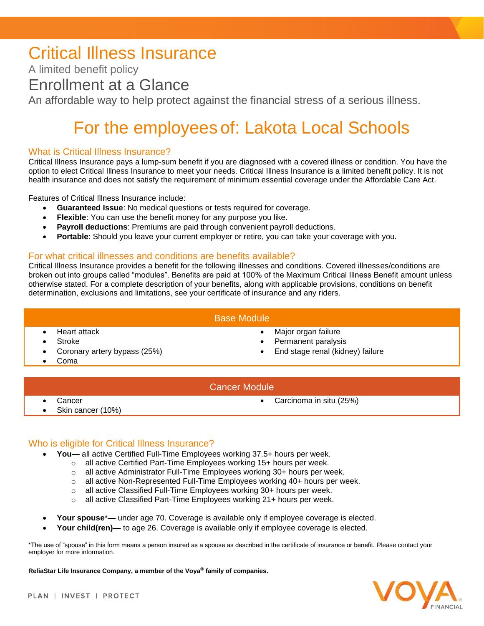## Critical Illness Insurance

A limited benefit policy

### Enrollment at a Glance

An affordable way to help protect against the financial stress of a serious illness.

# For the employees of: Lakota Local Schools

#### What is Critical Illness Insurance?

Critical Illness Insurance pays a lump-sum benefit if you are diagnosed with a covered illness or condition. You have the option to elect Critical Illness Insurance to meet your needs. Critical Illness Insurance is a limited benefit policy. It is not health insurance and does not satisfy the requirement of minimum essential coverage under the Affordable Care Act.

Features of Critical Illness Insurance include:

- **Guaranteed Issue**: No medical questions or tests required for coverage.
- **Flexible**: You can use the benefit money for any purpose you like.
- **Payroll deductions**: Premiums are paid through convenient payroll deductions.
- **Portable**: Should you leave your current employer or retire, you can take your coverage with you.

#### For what critical illnesses and conditions are benefits available?

Critical Illness Insurance provides a benefit for the following illnesses and conditions. Covered illnesses/conditions are broken out into groups called "modules". Benefits are paid at 100% of the Maximum Critical Illness Benefit amount unless otherwise stated. For a complete description of your benefits, along with applicable provisions, conditions on benefit determination, exclusions and limitations, see your certificate of insurance and any riders.

#### Base Module

- 
- 
- 
- Coma
- Heart attack Major organ failure
	- **Stroke Permanent paralysis Permanent paralysis**
	- Coronary artery bypass (25%) End stage renal (kidney) failure

#### Cancer Module

- 
- Skin cancer (10%)
- Cancer Carcinoma in situ (25%)

#### Who is eligible for Critical Illness Insurance?

- **You—** all active Certified Full-Time Employees working 37.5+ hours per week.
	- $\circ$  all active Certified Part-Time Employees working 15+ hours per week.
	- o all active Administrator Full-Time Employees working 30+ hours per week.
	- o all active Non-Represented Full-Time Employees working 40+ hours per week.
	- o all active Classified Full-Time Employees working 30+ hours per week.
	- o all active Classified Part-Time Employees working 21+ hours per week.
- **Your spouse**\***—** under age 70. Coverage is available only if employee coverage is elected.
- **Your child(ren)—** to age 26. Coverage is available only if employee coverage is elected.

\*The use of "spouse" in this form means a person insured as a spouse as described in the certificate of insurance or benefit. Please contact your employer for more information.

**ReliaStar Life Insurance Company, a member of the Voya® family of companies**.

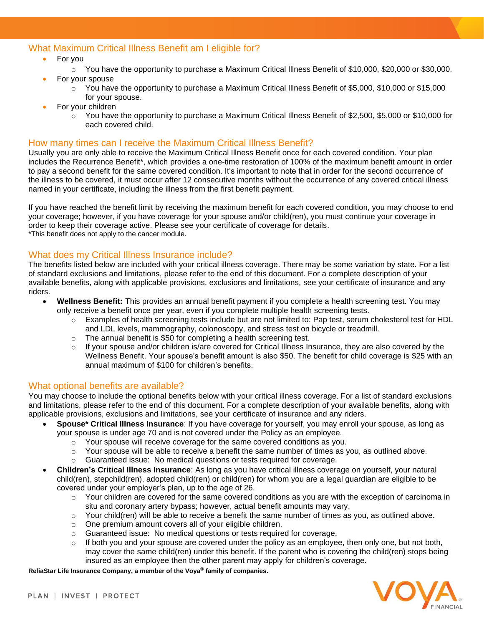#### What Maximum Critical Illness Benefit am I eligible for?

- For you
	- $\circ$  You have the opportunity to purchase a Maximum Critical Illness Benefit of \$10,000, \$20,000 or \$30,000.
- For your spouse
	- $\circ$  You have the opportunity to purchase a Maximum Critical Illness Benefit of \$5,000, \$10,000 or \$15,000 for your spouse.
- For your children
	- o You have the opportunity to purchase a Maximum Critical Illness Benefit of \$2,500, \$5,000 or \$10,000 for each covered child.

#### How many times can I receive the Maximum Critical Illness Benefit?

Usually you are only able to receive the Maximum Critical Illness Benefit once for each covered condition. Your plan includes the Recurrence Benefit\*, which provides a one-time restoration of 100% of the maximum benefit amount in order to pay a second benefit for the same covered condition. It's important to note that in order for the second occurrence of the illness to be covered, it must occur after 12 consecutive months without the occurrence of any covered critical illness named in your certificate, including the illness from the first benefit payment.

If you have reached the benefit limit by receiving the maximum benefit for each covered condition, you may choose to end your coverage; however, if you have coverage for your spouse and/or child(ren), you must continue your coverage in order to keep their coverage active. Please see your certificate of coverage for details. \*This benefit does not apply to the cancer module.

#### What does my Critical Illness Insurance include?

The benefits listed below are included with your critical illness coverage. There may be some variation by state. For a list of standard exclusions and limitations, please refer to the end of this document. For a complete description of your available benefits, along with applicable provisions, exclusions and limitations, see your certificate of insurance and any riders.

- **Wellness Benefit:** This provides an annual benefit payment if you complete a health screening test. You may only receive a benefit once per year, even if you complete multiple health screening tests.
	- o Examples of health screening tests include but are not limited to: Pap test, serum cholesterol test for HDL and LDL levels, mammography, colonoscopy, and stress test on bicycle or treadmill.
	- o The annual benefit is \$50 for completing a health screening test.
	- $\circ$  If your spouse and/or children is/are covered for Critical Illness Insurance, they are also covered by the Wellness Benefit. Your spouse's benefit amount is also \$50. The benefit for child coverage is \$25 with an annual maximum of \$100 for children's benefits.

#### What optional benefits are available?

You may choose to include the optional benefits below with your critical illness coverage. For a list of standard exclusions and limitations, please refer to the end of this document. For a complete description of your available benefits, along with applicable provisions, exclusions and limitations, see your certificate of insurance and any riders.

- **Spouse\* Critical Illness Insurance**: If you have coverage for yourself, you may enroll your spouse, as long as your spouse is under age 70 and is not covered under the Policy as an employee.
	- $\circ$  Your spouse will receive coverage for the same covered conditions as you.
	- $\circ$  Your spouse will be able to receive a benefit the same number of times as you, as outlined above.
	- o Guaranteed issue: No medical questions or tests required for coverage.
- **Children's Critical Illness Insurance**: As long as you have critical illness coverage on yourself, your natural child(ren), stepchild(ren), adopted child(ren) or child(ren) for whom you are a legal guardian are eligible to be covered under your employer's plan, up to the age of 26.
	- $\circ$  Your children are covered for the same covered conditions as you are with the exception of carcinoma in situ and coronary artery bypass; however, actual benefit amounts may vary.
	- $\circ$  Your child(ren) will be able to receive a benefit the same number of times as you, as outlined above.
	- o One premium amount covers all of your eligible children.
	- o Guaranteed issue: No medical questions or tests required for coverage.
	- $\circ$  If both you and your spouse are covered under the policy as an employee, then only one, but not both, may cover the same child(ren) under this benefit. If the parent who is covering the child(ren) stops being insured as an employee then the other parent may apply for children's coverage.

**ReliaStar Life Insurance Company, a member of the Voya® family of companies**.